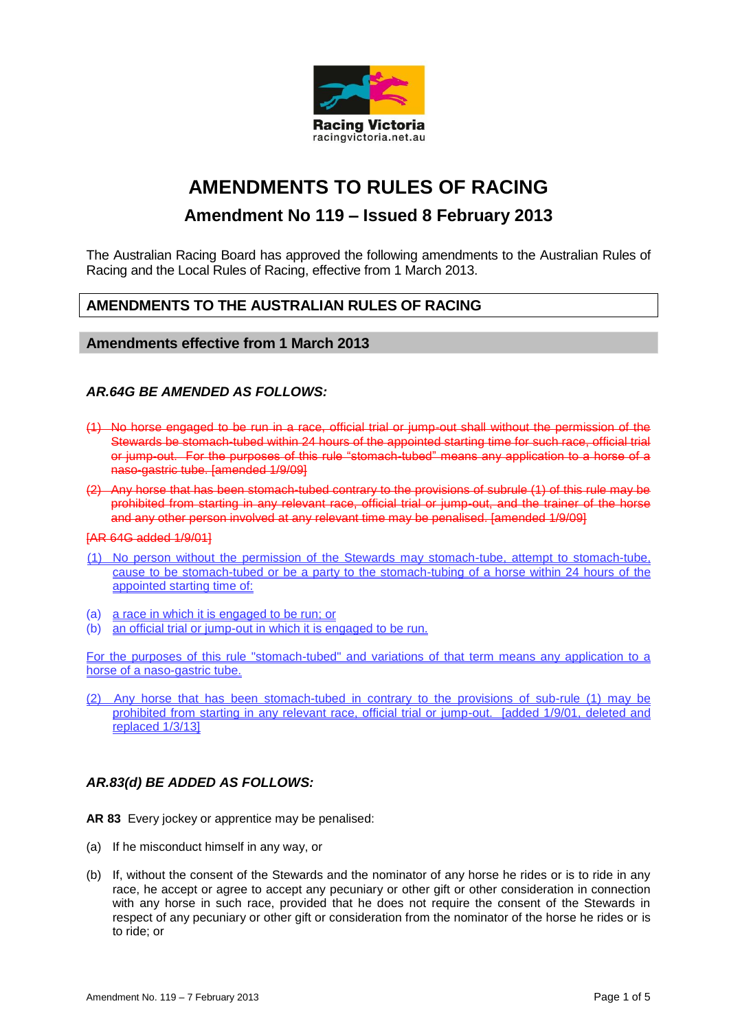

# **AMENDMENTS TO RULES OF RACING**

## **Amendment No 119 – Issued 8 February 2013**

The Australian Racing Board has approved the following amendments to the Australian Rules of Racing and the Local Rules of Racing, effective from 1 March 2013.

## **AMENDMENTS TO THE AUSTRALIAN RULES OF RACING**

#### **Amendments effective from 1 March 2013**

#### *AR.64G BE AMENDED AS FOLLOWS:*

- (1) No horse engaged to be run in a race, official trial or jump-out shall without the permission of the Stewards be stomach-tubed within 24 hours of the appointed starting time for such race, official trial or jump-out. For the purposes of this rule "stomach-tubed" means any application to a horse of a naso-gastric tube. [amended 1/9/09]
- (2) Any horse that has been stomach-tubed contrary to the provisions of subrule (1) of this rule may be prohibited from starting in any relevant race, official trial or jump-out, and the trainer of the horse and any other person involved at any relevant time may be penalised. [amended 1/9/09]

#### [AR 64G added 1/9/01]

- (1) No person without the permission of the Stewards may stomach-tube, attempt to stomach-tube, cause to be stomach-tubed or be a party to the stomach-tubing of a horse within 24 hours of the appointed starting time of:
- (a) a race in which it is engaged to be run; or
- (b) an official trial or jump-out in which it is engaged to be run.

For the purposes of this rule "stomach-tubed" and variations of that term means any application to a horse of a naso-gastric tube.

(2) Any horse that has been stomach-tubed in contrary to the provisions of sub-rule (1) may be prohibited from starting in any relevant race, official trial or jump-out. [added 1/9/01, deleted and replaced 1/3/13]

#### *AR.83(d) BE ADDED AS FOLLOWS:*

- **AR 83** Every jockey or apprentice may be penalised:
- (a) If he misconduct himself in any way, or
- (b) If, without the consent of the Stewards and the nominator of any horse he rides or is to ride in any race, he accept or agree to accept any pecuniary or other gift or other consideration in connection with any horse in such race, provided that he does not require the consent of the Stewards in respect of any pecuniary or other gift or consideration from the nominator of the horse he rides or is to ride; or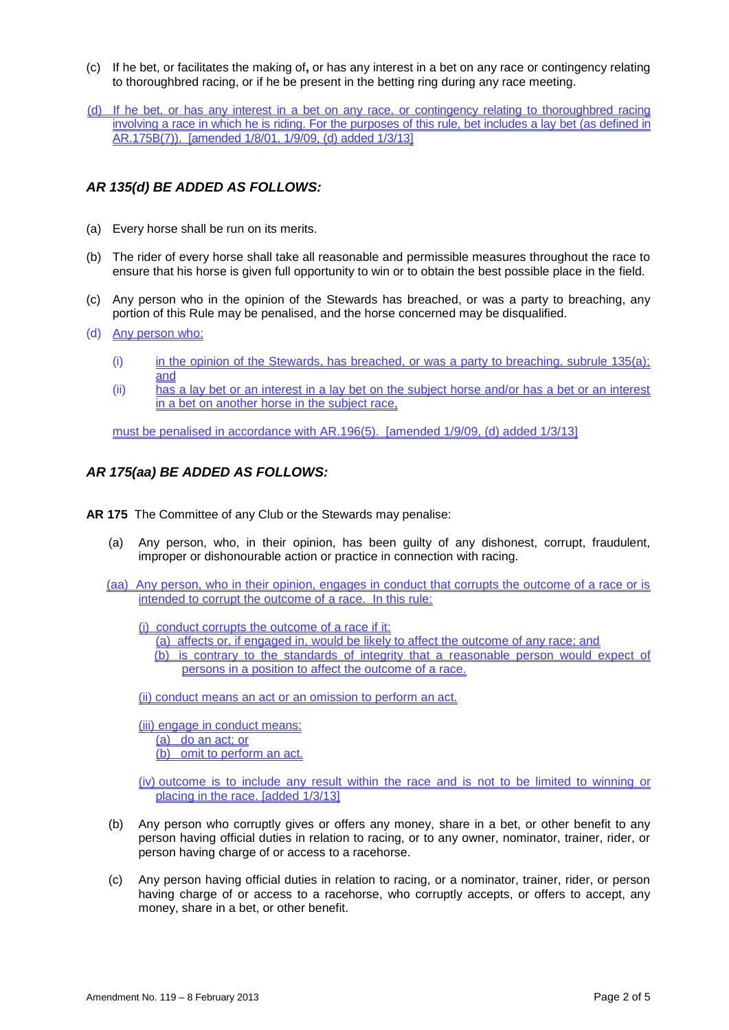- (c) If he bet, or facilitates the making of**,** or has any interest in a bet on any race or contingency relating to thoroughbred racing, or if he be present in the betting ring during any race meeting.
- (d) If he bet, or has any interest in a bet on any race, or contingency relating to thoroughbred racing involving a race in which he is riding. For the purposes of this rule, bet includes a lay bet (as defined in AR.175B(7)). [amended 1/8/01, 1/9/09, (d) added 1/3/13]

## *AR 135(d) BE ADDED AS FOLLOWS:*

- (a) Every horse shall be run on its merits.
- (b) The rider of every horse shall take all reasonable and permissible measures throughout the race to ensure that his horse is given full opportunity to win or to obtain the best possible place in the field.
- (c) Any person who in the opinion of the Stewards has breached, or was a party to breaching, any portion of this Rule may be penalised, and the horse concerned may be disqualified.
- (d) Any person who:
	- (i) in the opinion of the Stewards, has breached, or was a party to breaching, subrule  $135(a)$ ; and
	- (ii) has a lay bet or an interest in a lay bet on the subject horse and/or has a bet or an interest in a bet on another horse in the subject race,

must be penalised in accordance with AR.196(5). [amended 1/9/09, (d) added 1/3/13]

#### *AR 175(aa) BE ADDED AS FOLLOWS:*

- **AR 175** The Committee of any Club or the Stewards may penalise:
	- (a) Any person, who, in their opinion, has been guilty of any dishonest, corrupt, fraudulent, improper or dishonourable action or practice in connection with racing.
	- (aa) Any person, who in their opinion, engages in conduct that corrupts the outcome of a race or is intended to corrupt the outcome of a race. In this rule:
		- (i) conduct corrupts the outcome of a race if it:
			- (a) affects or, if engaged in, would be likely to affect the outcome of any race; and (b) is contrary to the standards of integrity that a reasonable person would expect of persons in a position to affect the outcome of a race.

(ii) conduct means an act or an omission to perform an act.

(iii) engage in conduct means: (a) do an act; or (b) omit to perform an act.

(iv) outcome is to include any result within the race and is not to be limited to winning or placing in the race. [added 1/3/13]

- (b) Any person who corruptly gives or offers any money, share in a bet, or other benefit to any person having official duties in relation to racing, or to any owner, nominator, trainer, rider, or person having charge of or access to a racehorse.
- (c) Any person having official duties in relation to racing, or a nominator, trainer, rider, or person having charge of or access to a racehorse, who corruptly accepts, or offers to accept, any money, share in a bet, or other benefit.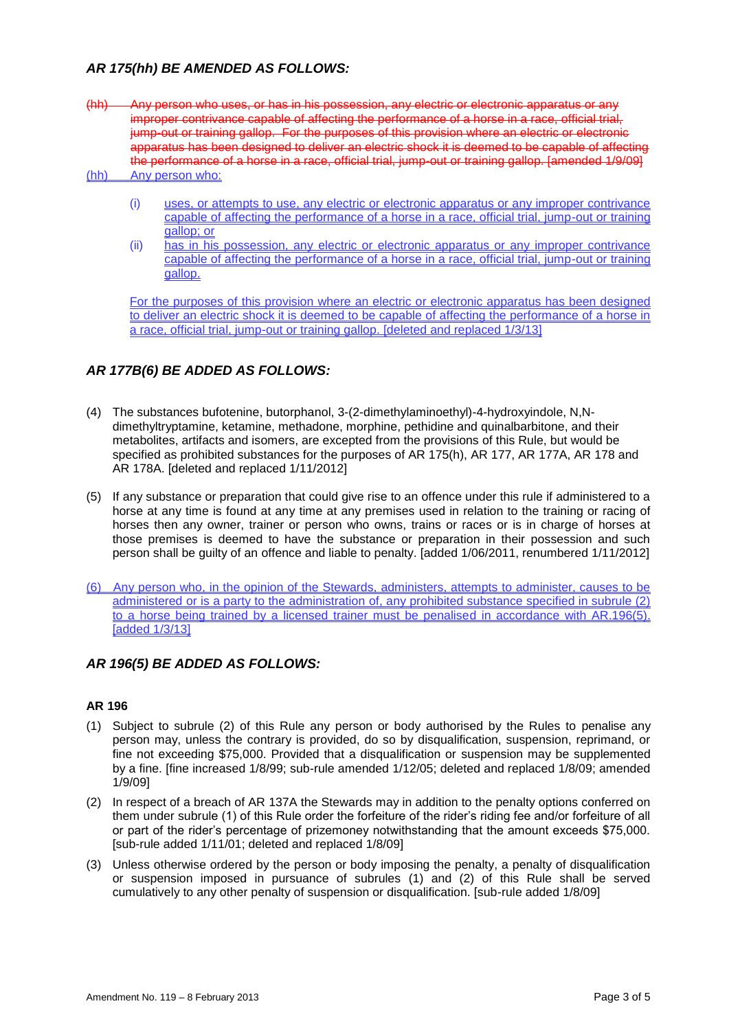## *AR 175(hh) BE AMENDED AS FOLLOWS:*

- (hh) Any person who uses, or has in his possession, any electric or electronic apparatus or any improper contrivance capable of affecting the performance of a horse in a race, official trial, jump-out or training gallop. For the purposes of this provision where an electric or electronic apparatus has been designed to deliver an electric shock it is deemed to be capable of affecting the performance of a horse in a race, official trial, jump-out or training gallop. [amended 1/9/09] (hh) Any person who:
	- (i) uses, or attempts to use, any electric or electronic apparatus or any improper contrivance capable of affecting the performance of a horse in a race, official trial, jump-out or training gallop; or
	- (ii) has in his possession, any electric or electronic apparatus or any improper contrivance capable of affecting the performance of a horse in a race, official trial, jump-out or training gallop.

For the purposes of this provision where an electric or electronic apparatus has been designed to deliver an electric shock it is deemed to be capable of affecting the performance of a horse in a race, official trial, jump-out or training gallop. [deleted and replaced 1/3/13]

## *AR 177B(6) BE ADDED AS FOLLOWS:*

- (4) The substances bufotenine, butorphanol, 3-(2-dimethylaminoethyl)-4-hydroxyindole, N,Ndimethyltryptamine, ketamine, methadone, morphine, pethidine and quinalbarbitone, and their metabolites, artifacts and isomers, are excepted from the provisions of this Rule, but would be specified as prohibited substances for the purposes of AR 175(h), AR 177, AR 177A, AR 178 and AR 178A. [deleted and replaced 1/11/2012]
- (5) If any substance or preparation that could give rise to an offence under this rule if administered to a horse at any time is found at any time at any premises used in relation to the training or racing of horses then any owner, trainer or person who owns, trains or races or is in charge of horses at those premises is deemed to have the substance or preparation in their possession and such person shall be guilty of an offence and liable to penalty. [added 1/06/2011, renumbered 1/11/2012]
- (6) Any person who, in the opinion of the Stewards, administers, attempts to administer, causes to be administered or is a party to the administration of, any prohibited substance specified in subrule (2) to a horse being trained by a licensed trainer must be penalised in accordance with AR.196(5). [added 1/3/13]

#### *AR 196(5) BE ADDED AS FOLLOWS:*

#### **AR 196**

- (1) Subject to subrule (2) of this Rule any person or body authorised by the Rules to penalise any person may, unless the contrary is provided, do so by disqualification, suspension, reprimand, or fine not exceeding \$75,000. Provided that a disqualification or suspension may be supplemented by a fine. [fine increased 1/8/99; sub-rule amended 1/12/05; deleted and replaced 1/8/09; amended 1/9/09]
- (2) In respect of a breach of AR 137A the Stewards may in addition to the penalty options conferred on them under subrule (1) of this Rule order the forfeiture of the rider's riding fee and/or forfeiture of all or part of the rider's percentage of prizemoney notwithstanding that the amount exceeds \$75,000. [sub-rule added 1/11/01; deleted and replaced 1/8/09]
- (3) Unless otherwise ordered by the person or body imposing the penalty, a penalty of disqualification or suspension imposed in pursuance of subrules (1) and (2) of this Rule shall be served cumulatively to any other penalty of suspension or disqualification. [sub-rule added 1/8/09]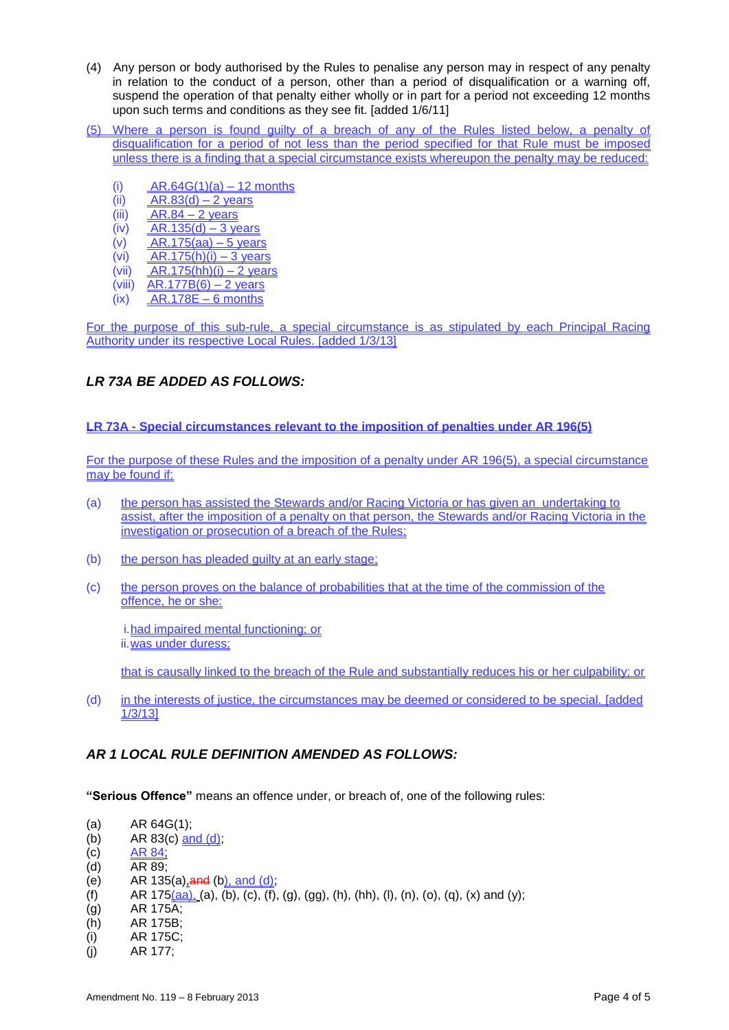- (4) Any person or body authorised by the Rules to penalise any person may in respect of any penalty in relation to the conduct of a person, other than a period of disqualification or a warning off, suspend the operation of that penalty either wholly or in part for a period not exceeding 12 months upon such terms and conditions as they see fit. [added 1/6/11]
- (5) Where a person is found guilty of a breach of any of the Rules listed below, a penalty of disqualification for a period of not less than the period specified for that Rule must be imposed unless there is a finding that a special circumstance exists whereupon the penalty may be reduced:
	- (i)  $AR.64G(1)(a) 12$  months
	- (ii)  $AR.83(d) 2 \text{ years}$
	- (iii)  $AR.84 2$  years
	- (iv)  $AR.135(d) 3 \text{ years}$
	- (v)  $AR.175(aa) 5 years$
	- (vi)  $AR.175(h)(i) 3$  years
	- (vii)  $AR.175(hh)(i) 2$  years
	- (viii)  $AR.177B(6) 2$  years
	- $(ix)$  AR.178E 6 months

For the purpose of this sub-rule, a special circumstance is as stipulated by each Principal Racing Authority under its respective Local Rules. [added 1/3/13]

## *LR 73A BE ADDED AS FOLLOWS:*

#### **LR 73A - Special circumstances relevant to the imposition of penalties under AR 196(5)**

For the purpose of these Rules and the imposition of a penalty under AR 196(5), a special circumstance may be found if:

- (a) the person has assisted the Stewards and/or Racing Victoria or has given an undertaking to assist, after the imposition of a penalty on that person, the Stewards and/or Racing Victoria in the investigation or prosecution of a breach of the Rules;
- (b) the person has pleaded quilty at an early stage;
- (c) the person proves on the balance of probabilities that at the time of the commission of the offence, he or she:

i.had impaired mental functioning; or ii.was under duress;

that is causally linked to the breach of the Rule and substantially reduces his or her culpability; or

(d) in the interests of justice, the circumstances may be deemed or considered to be special. [added 1/3/13]

#### *AR 1 LOCAL RULE DEFINITION AMENDED AS FOLLOWS:*

**"Serious Offence"** means an offence under, or breach of, one of the following rules:

- (a) AR 64G(1);
- (b) AR 83(c)  $\frac{and (d)}{]}$
- $\overline{AR 84}$ ;
- (d) AR 89;
- (e) AR 135(a),  $\frac{and}{b}$ ,  $\frac{and}{d}$ ;
- (f) AR  $175(aa)$ , (a), (b), (c), (f), (g), (gg), (h), (hh), (l), (n), (o), (q), (x) and (y);
- (g) AR 175A;
- (h) AR 175B;
- (i) AR 175C;
- (j) AR 177;